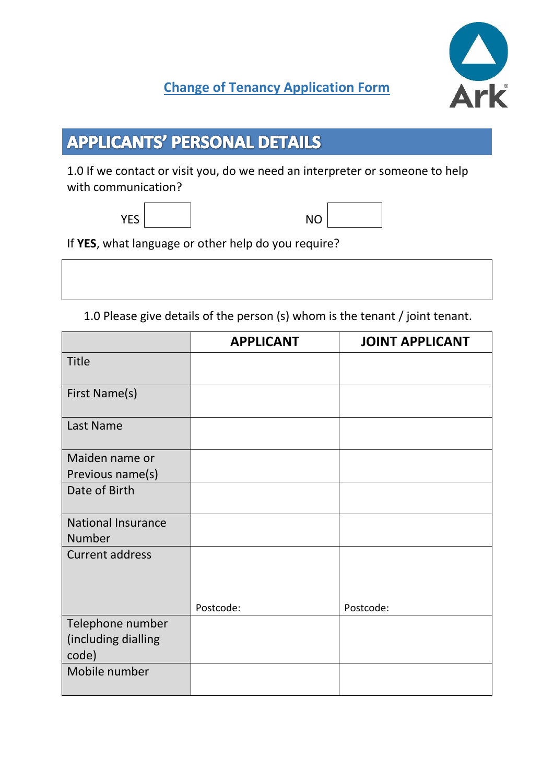## **Change of Tenancy Application Form**

# **APPLICANTS' PERSONAL DETAILS**

1.0 If we contact or visit you, do we need an interpreter or someone to help with communication?

| YES | <b>NO</b> |
|-----|-----------|
|     |           |

| O |  |
|---|--|
|   |  |

If **YES**, what language or other help do you require?

1.0 Please give details of the person (s) whom is the tenant / joint tenant.

|                           | <b>APPLICANT</b> | <b>JOINT APPLICANT</b> |
|---------------------------|------------------|------------------------|
| <b>Title</b>              |                  |                        |
| First Name(s)             |                  |                        |
| Last Name                 |                  |                        |
| Maiden name or            |                  |                        |
| Previous name(s)          |                  |                        |
| Date of Birth             |                  |                        |
| <b>National Insurance</b> |                  |                        |
| <b>Number</b>             |                  |                        |
| <b>Current address</b>    |                  |                        |
|                           | Postcode:        | Postcode:              |
| Telephone number          |                  |                        |
| (including dialling       |                  |                        |
| code)                     |                  |                        |
| Mobile number             |                  |                        |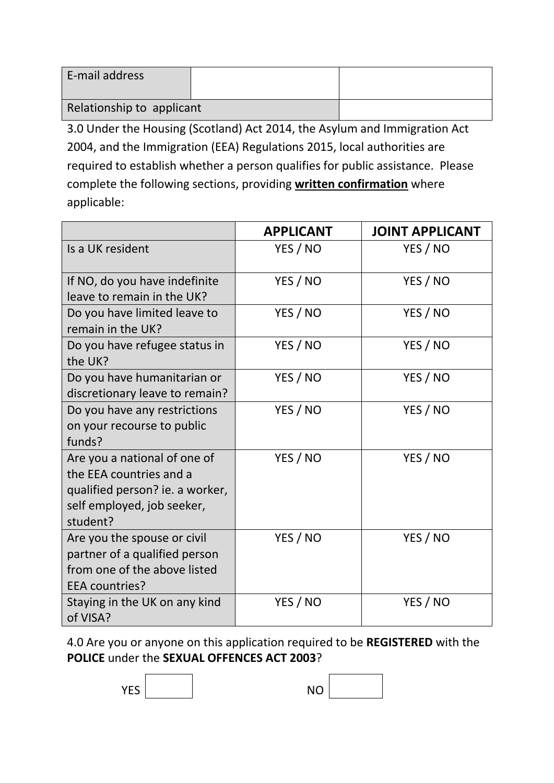| E-mail address            |  |  |
|---------------------------|--|--|
| Relationship to applicant |  |  |

3.0 Under the Housing (Scotland) Act 2014, the Asylum and Immigration Act 2004, and the Immigration (EEA) Regulations 2015, local authorities are required to establish whether a person qualifies for public assistance. Please complete the following sections, providing **written confirmation** where applicable:

|                                                                                                                                      | <b>APPLICANT</b> | <b>JOINT APPLICANT</b> |
|--------------------------------------------------------------------------------------------------------------------------------------|------------------|------------------------|
| Is a UK resident                                                                                                                     | YES / NO         | YES / NO               |
| If NO, do you have indefinite<br>leave to remain in the UK?                                                                          | YES / NO         | YES / NO               |
| Do you have limited leave to<br>remain in the UK?                                                                                    | YES / NO         | YES / NO               |
| Do you have refugee status in<br>the UK?                                                                                             | YES / NO         | YES / NO               |
| Do you have humanitarian or<br>discretionary leave to remain?                                                                        | YES / NO         | YES / NO               |
| Do you have any restrictions<br>on your recourse to public<br>funds?                                                                 | YES / NO         | YES / NO               |
| Are you a national of one of<br>the EEA countries and a<br>qualified person? ie. a worker,<br>self employed, job seeker,<br>student? | YES / NO         | YES / NO               |
| Are you the spouse or civil<br>partner of a qualified person<br>from one of the above listed<br>EEA countries?                       | YES / NO         | YES / NO               |
| Staying in the UK on any kind<br>of VISA?                                                                                            | YES / NO         | YES / NO               |

4.0 Are you or anyone on this application required to be **REGISTERED** with the **POLICE** under the **SEXUAL OFFENCES ACT 2003**?

| <b>YES</b> | <b>NO</b> |  |
|------------|-----------|--|
|            |           |  |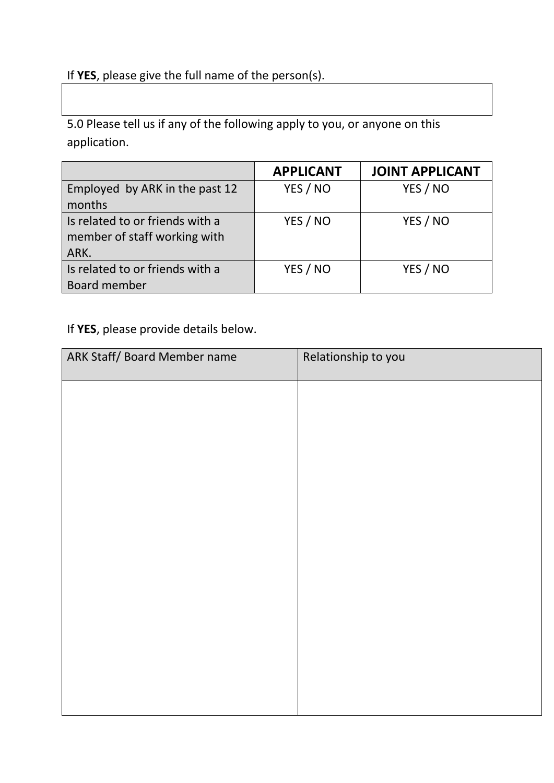#### If **YES**, please give the full name of the person(s).

5.0 Please tell us if any of the following apply to you, or anyone on this application.

|                                 | <b>APPLICANT</b> | <b>JOINT APPLICANT</b> |
|---------------------------------|------------------|------------------------|
| Employed by ARK in the past 12  | YES / NO         | YES / NO               |
| months                          |                  |                        |
| Is related to or friends with a | YES / NO         | YES / NO               |
| member of staff working with    |                  |                        |
| ARK.                            |                  |                        |
| Is related to or friends with a | YES / NO         | YES / NO               |
| Board member                    |                  |                        |

If **YES**, please provide details below.

| ARK Staff/ Board Member name | Relationship to you |
|------------------------------|---------------------|
|                              |                     |
|                              |                     |
|                              |                     |
|                              |                     |
|                              |                     |
|                              |                     |
|                              |                     |
|                              |                     |
|                              |                     |
|                              |                     |
|                              |                     |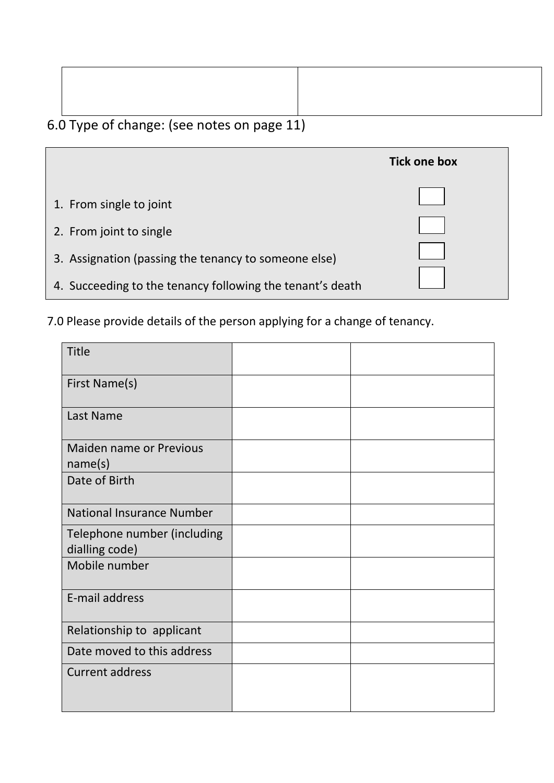## 6.0 Type of change: (see notes on page 11)

|                                                           | <b>Tick one box</b> |
|-----------------------------------------------------------|---------------------|
| 1. From single to joint                                   |                     |
| 2. From joint to single                                   |                     |
| 3. Assignation (passing the tenancy to someone else)      |                     |
| 4. Succeeding to the tenancy following the tenant's death |                     |

7.0 Please provide details of the person applying for a change of tenancy.

| <b>Title</b>                                  |  |
|-----------------------------------------------|--|
| First Name(s)                                 |  |
| Last Name                                     |  |
| Maiden name or Previous<br>name(s)            |  |
| Date of Birth                                 |  |
| <b>National Insurance Number</b>              |  |
| Telephone number (including<br>dialling code) |  |
| Mobile number                                 |  |
| E-mail address                                |  |
| Relationship to applicant                     |  |
| Date moved to this address                    |  |
| <b>Current address</b>                        |  |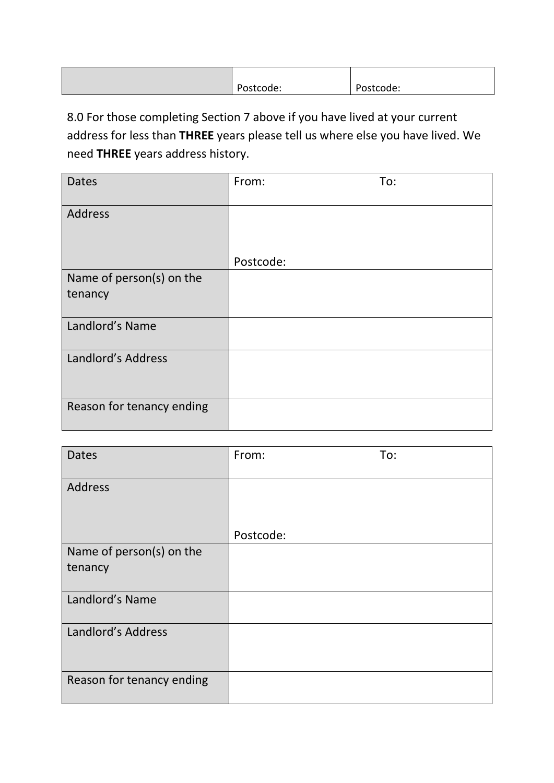| $\overline{\phantom{a}}$<br>. .<br>υJ<br>icouc. | -<br>.Jude: |
|-------------------------------------------------|-------------|
|                                                 |             |

8.0 For those completing Section 7 above if you have lived at your current address for less than **THREE** years please tell us where else you have lived. We need **THREE** years address history.

| <b>Dates</b>              | To:<br>From: |
|---------------------------|--------------|
| Address                   |              |
|                           |              |
|                           | Postcode:    |
| Name of person(s) on the  |              |
| tenancy                   |              |
| Landlord's Name           |              |
| Landlord's Address        |              |
| Reason for tenancy ending |              |

| <b>Dates</b>              | From:     | To: |
|---------------------------|-----------|-----|
| Address                   |           |     |
|                           | Postcode: |     |
| Name of person(s) on the  |           |     |
| tenancy                   |           |     |
| Landlord's Name           |           |     |
| Landlord's Address        |           |     |
| Reason for tenancy ending |           |     |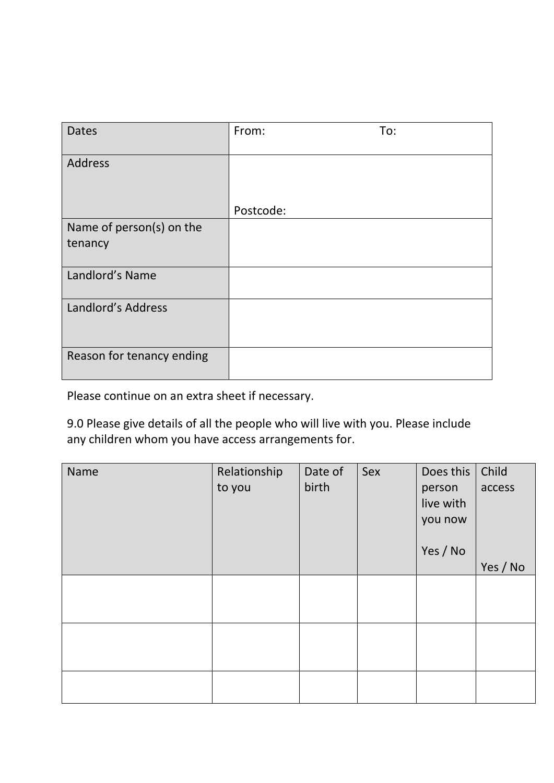| <b>Dates</b>              | From:     | To: |
|---------------------------|-----------|-----|
| Address                   |           |     |
|                           |           |     |
|                           | Postcode: |     |
| Name of person(s) on the  |           |     |
| tenancy                   |           |     |
| Landlord's Name           |           |     |
| Landlord's Address        |           |     |
| Reason for tenancy ending |           |     |

Please continue on an extra sheet if necessary.

9.0 Please give details of all the people who will live with you. Please include any children whom you have access arrangements for.

| Name | Relationship | Date of | Sex | Does this | Child    |
|------|--------------|---------|-----|-----------|----------|
|      | to you       | birth   |     | person    | access   |
|      |              |         |     | live with |          |
|      |              |         |     | you now   |          |
|      |              |         |     |           |          |
|      |              |         |     | Yes / No  |          |
|      |              |         |     |           | Yes / No |
|      |              |         |     |           |          |
|      |              |         |     |           |          |
|      |              |         |     |           |          |
|      |              |         |     |           |          |
|      |              |         |     |           |          |
|      |              |         |     |           |          |
|      |              |         |     |           |          |
|      |              |         |     |           |          |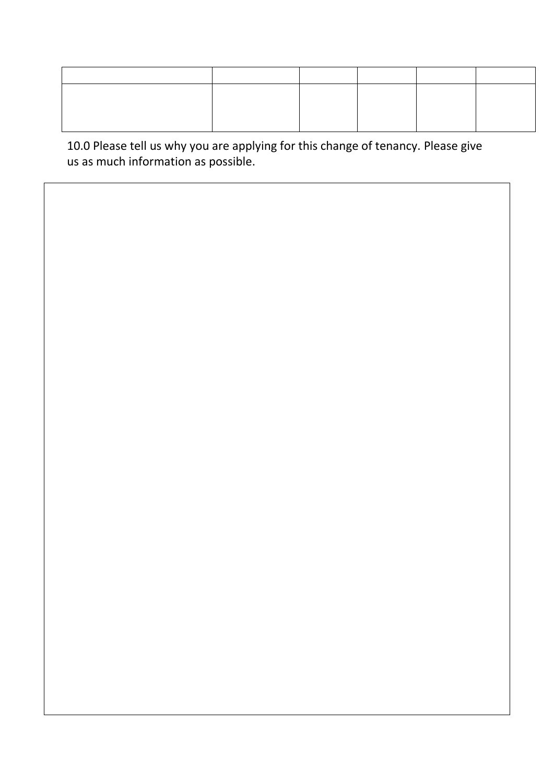10.0 Please tell us why you are applying for this change of tenancy. Please give us as much information as possible.

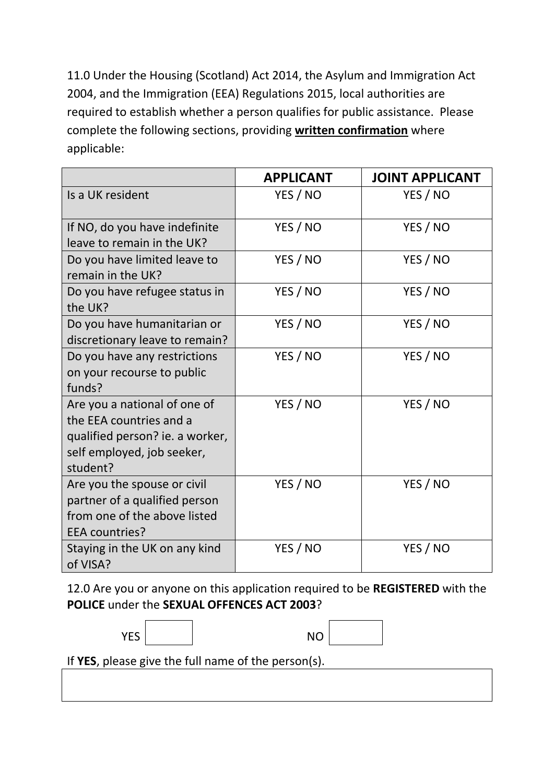11.0 Under the Housing (Scotland) Act 2014, the Asylum and Immigration Act 2004, and the Immigration (EEA) Regulations 2015, local authorities are required to establish whether a person qualifies for public assistance. Please complete the following sections, providing **written confirmation** where applicable:

|                                                                                                                                      | <b>APPLICANT</b> | <b>JOINT APPLICANT</b> |
|--------------------------------------------------------------------------------------------------------------------------------------|------------------|------------------------|
| Is a UK resident                                                                                                                     | YES / NO         | YES / NO               |
| If NO, do you have indefinite<br>leave to remain in the UK?                                                                          | YES / NO         | YES / NO               |
| Do you have limited leave to<br>remain in the UK?                                                                                    | YES / NO         | YES / NO               |
| Do you have refugee status in<br>the UK?                                                                                             | YES / NO         | YES / NO               |
| Do you have humanitarian or<br>discretionary leave to remain?                                                                        | YES / NO         | YES / NO               |
| Do you have any restrictions<br>on your recourse to public<br>funds?                                                                 | YES / NO         | YES / NO               |
| Are you a national of one of<br>the EEA countries and a<br>qualified person? ie. a worker,<br>self employed, job seeker,<br>student? | YES / NO         | YES / NO               |
| Are you the spouse or civil<br>partner of a qualified person<br>from one of the above listed<br>EEA countries?                       | YES / NO         | YES / NO               |
| Staying in the UK on any kind<br>of VISA?                                                                                            | YES / NO         | YES / NO               |

12.0 Are you or anyone on this application required to be **REGISTERED** with the **POLICE** under the **SEXUAL OFFENCES ACT 2003**?

| $\overline{\phantom{a}}$ |  |  |  |
|--------------------------|--|--|--|
|                          |  |  |  |
|                          |  |  |  |
|                          |  |  |  |
|                          |  |  |  |
|                          |  |  |  |
|                          |  |  |  |
|                          |  |  |  |
|                          |  |  |  |
|                          |  |  |  |
|                          |  |  |  |
|                          |  |  |  |
|                          |  |  |  |
|                          |  |  |  |

If **YES**, please give the full name of the person(s).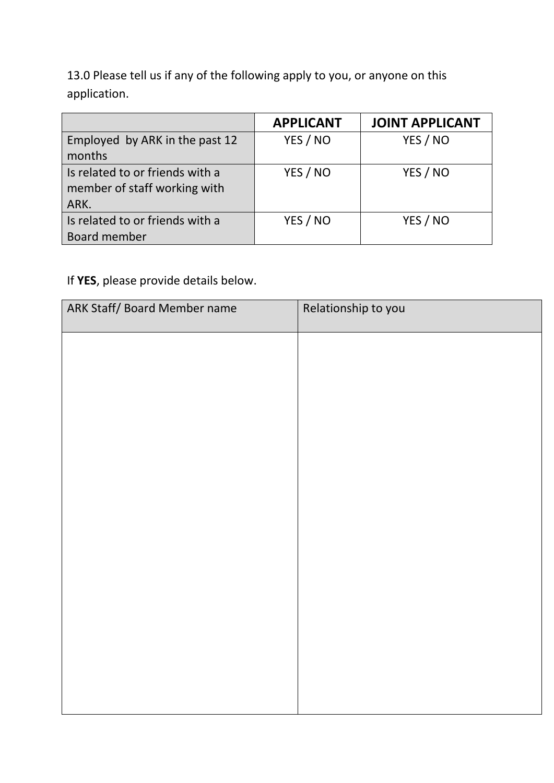13.0 Please tell us if any of the following apply to you, or anyone on this application.

|                                                                 | <b>APPLICANT</b> | <b>JOINT APPLICANT</b> |
|-----------------------------------------------------------------|------------------|------------------------|
| Employed by ARK in the past 12                                  | YES / NO         | YES / NO               |
| months                                                          |                  |                        |
| Is related to or friends with a<br>member of staff working with | YES / NO         | YES / NO               |
| ARK.                                                            |                  |                        |
| Is related to or friends with a                                 | YES / NO         | YES / NO               |
| Board member                                                    |                  |                        |

### If **YES**, please provide details below.

| ARK Staff/ Board Member name | Relationship to you |
|------------------------------|---------------------|
|                              |                     |
|                              |                     |
|                              |                     |
|                              |                     |
|                              |                     |
|                              |                     |
|                              |                     |
|                              |                     |
|                              |                     |
|                              |                     |
|                              |                     |
|                              |                     |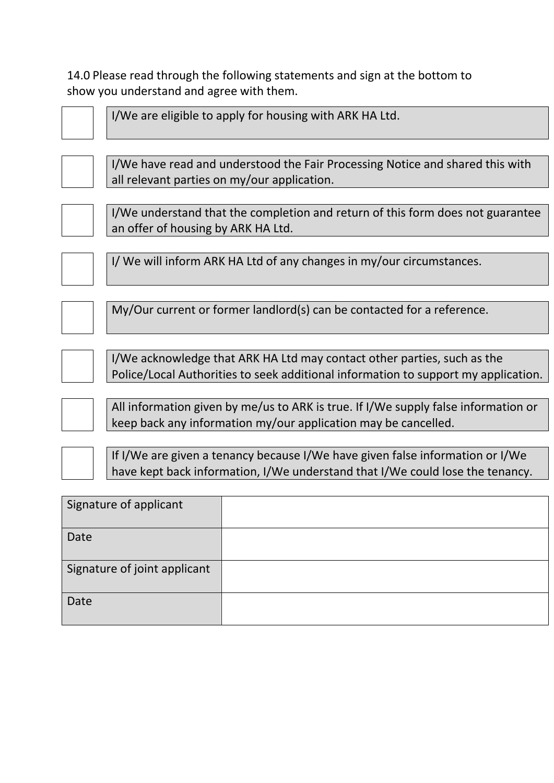14.0 Please read through the following statements and sign at the bottom to show you understand and agree with them.



All information given by me/us to ARK is true. If I/We supply false information or keep back any information my/our application may be cancelled.

If I/We are given a tenancy because I/We have given false information or I/We have kept back information, I/We understand that I/We could lose the tenancy.

| Signature of applicant       |  |
|------------------------------|--|
| Date                         |  |
| Signature of joint applicant |  |
| Date                         |  |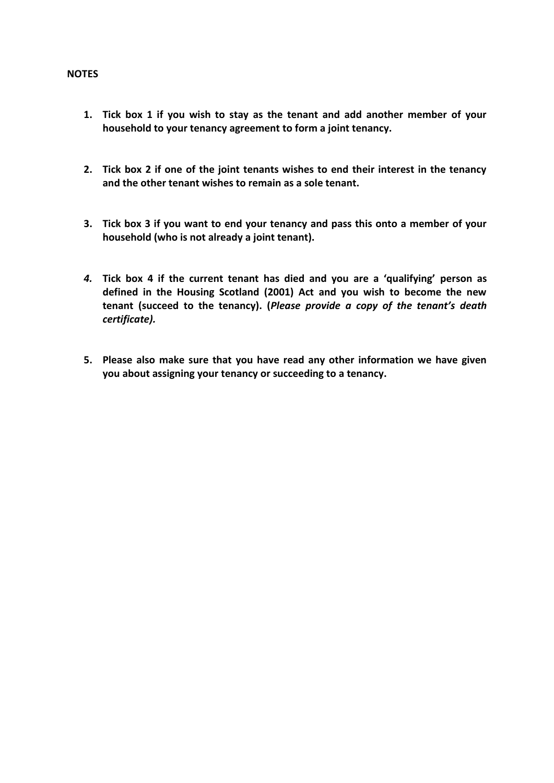#### **NOTES**

- **1. Tick box 1 if you wish to stay as the tenant and add another member of your household to your tenancy agreement to form a joint tenancy.**
- **2. Tick box 2 if one of the joint tenants wishes to end their interest in the tenancy and the other tenant wishes to remain as a sole tenant.**
- **3. Tick box 3 if you want to end your tenancy and pass this onto a member of your household (who is not already a joint tenant).**
- *4.* **Tick box 4 if the current tenant has died and you are a 'qualifying' person as defined in the Housing Scotland (2001) Act and you wish to become the new tenant (succeed to the tenancy). (***Please provide a copy of the tenant's death certificate).*
- **5. Please also make sure that you have read any other information we have given you about assigning your tenancy or succeeding to a tenancy.**